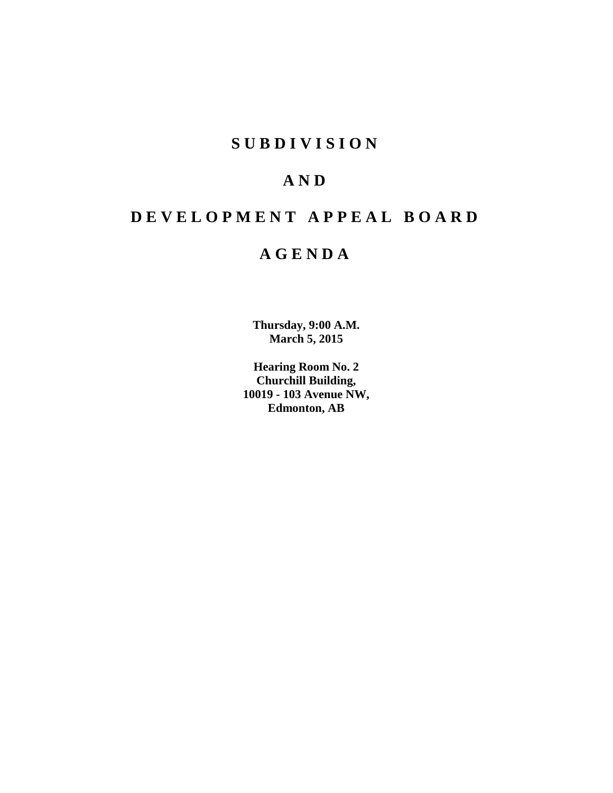# **S U B D I V I S I O N**

# **A N D**

# **D E V E L O P M E N T A P P E A L B O A R D**

# **A G E N D A**

**Thursday, 9:00 A.M. March 5, 2015**

**Hearing Room No. 2 Churchill Building, 10019 - 103 Avenue NW, Edmonton, AB**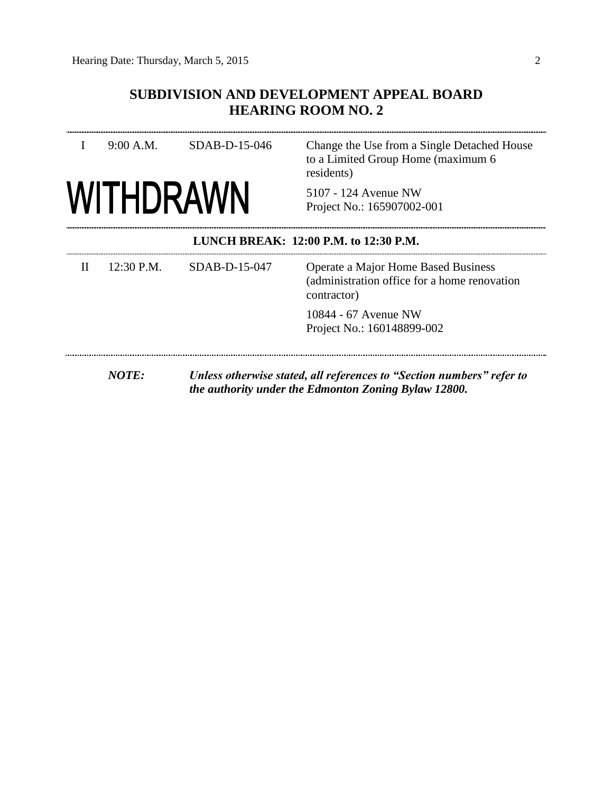### **SUBDIVISION AND DEVELOPMENT APPEAL BOARD HEARING ROOM NO. 2**

|                                       | 9:00 A.M.        | SDAB-D-15-046   | Change the Use from a Single Detached House<br>to a Limited Group Home (maximum 6<br>residents)    |  |
|---------------------------------------|------------------|-----------------|----------------------------------------------------------------------------------------------------|--|
|                                       | <b>WITHDRAWN</b> |                 | 5107 - 124 Avenue NW<br>Project No.: 165907002-001                                                 |  |
| LUNCH BREAK: 12:00 P.M. to 12:30 P.M. |                  |                 |                                                                                                    |  |
| $\mathbf{H}$                          | $12:30$ P.M.     | $SDAB-D-15-047$ | Operate a Major Home Based Business<br>(administration office for a home renovation<br>contractor) |  |
|                                       |                  |                 | 10844 - 67 Avenue NW<br>Project No.: 160148899-002                                                 |  |
|                                       |                  |                 |                                                                                                    |  |

*NOTE: Unless otherwise stated, all references to "Section numbers" refer to the authority under the Edmonton Zoning Bylaw 12800.*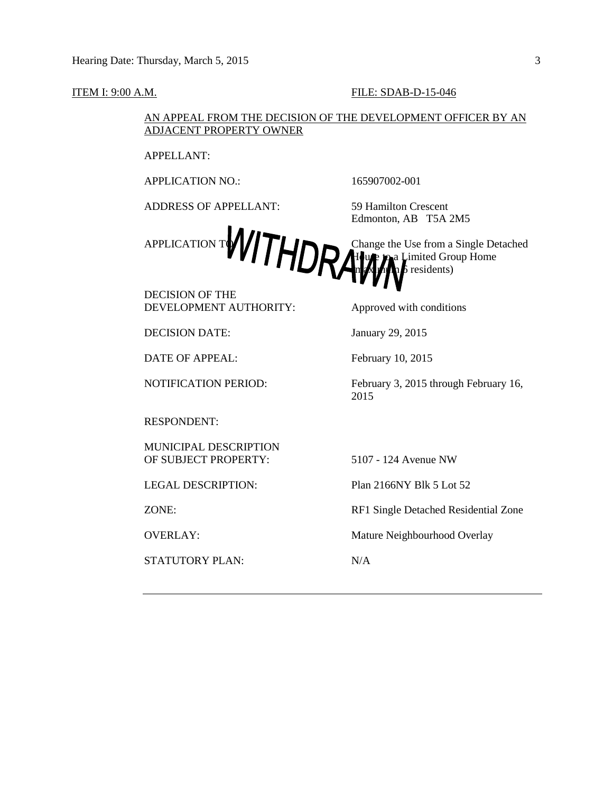#### **ITEM I: 9:00 A.M. FILE: SDAB-D-15-046**

#### AN APPEAL FROM THE DECISION OF THE DEVELOPMENT OFFICER BY AN ADJACENT PROPERTY OWNER

APPELLANT:

APPLICATION NO.: 165907002-001

ADDRESS OF APPELLANT: 59 Hamilton Crescent

Edmonton, AB T5A 2M5

APPLICATION TWO TO THE CHANGE OF Change the Use from a Single Detached APPLICATION TWO TO Change the Use from a Single Detached a Limited Group Home  $\frac{1}{b}$  residents)

DECISION OF THE DEVELOPMENT AUTHORITY: Approved with conditions

DECISION DATE: January 29, 2015

DATE OF APPEAL: February 10, 2015

RESPONDENT:

MUNICIPAL DESCRIPTION OF SUBJECT PROPERTY: 5107 - 124 Avenue NW

STATUTORY PLAN: N/A

NOTIFICATION PERIOD: February 3, 2015 through February 16, 2015

LEGAL DESCRIPTION: Plan 2166NY Blk 5 Lot 52

ZONE: RF1 Single Detached Residential Zone

OVERLAY: Mature Neighbourhood Overlay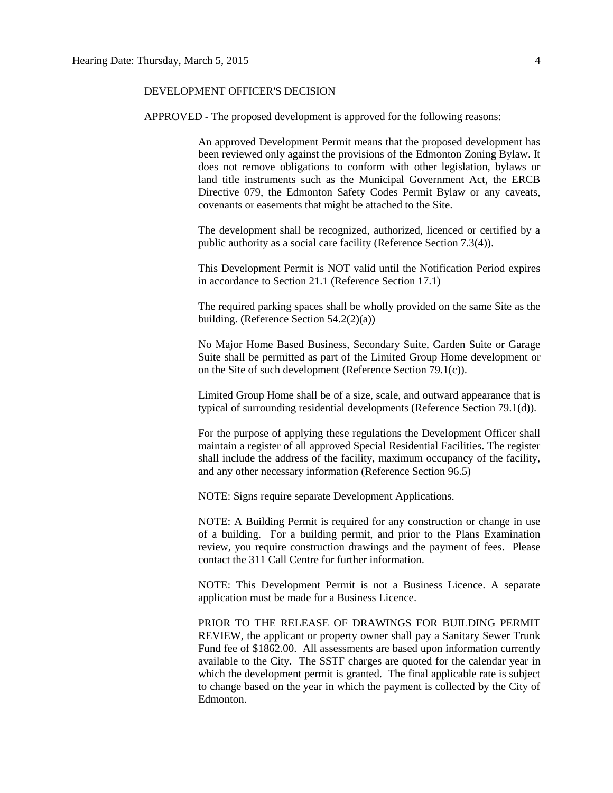#### DEVELOPMENT OFFICER'S DECISION

APPROVED - The proposed development is approved for the following reasons:

An approved Development Permit means that the proposed development has been reviewed only against the provisions of the Edmonton Zoning Bylaw. It does not remove obligations to conform with other legislation, bylaws or land title instruments such as the Municipal Government Act, the ERCB Directive 079, the Edmonton Safety Codes Permit Bylaw or any caveats, covenants or easements that might be attached to the Site.

The development shall be recognized, authorized, licenced or certified by a public authority as a social care facility (Reference Section 7.3(4)).

This Development Permit is NOT valid until the Notification Period expires in accordance to Section 21.1 (Reference Section 17.1)

The required parking spaces shall be wholly provided on the same Site as the building. (Reference Section 54.2(2)(a))

No Major Home Based Business, Secondary Suite, Garden Suite or Garage Suite shall be permitted as part of the Limited Group Home development or on the Site of such development (Reference Section 79.1(c)).

Limited Group Home shall be of a size, scale, and outward appearance that is typical of surrounding residential developments (Reference Section 79.1(d)).

For the purpose of applying these regulations the Development Officer shall maintain a register of all approved Special Residential Facilities. The register shall include the address of the facility, maximum occupancy of the facility, and any other necessary information (Reference Section 96.5)

NOTE: Signs require separate Development Applications.

NOTE: A Building Permit is required for any construction or change in use of a building. For a building permit, and prior to the Plans Examination review, you require construction drawings and the payment of fees. Please contact the 311 Call Centre for further information.

NOTE: This Development Permit is not a Business Licence. A separate application must be made for a Business Licence.

PRIOR TO THE RELEASE OF DRAWINGS FOR BUILDING PERMIT REVIEW, the applicant or property owner shall pay a Sanitary Sewer Trunk Fund fee of \$1862.00. All assessments are based upon information currently available to the City. The SSTF charges are quoted for the calendar year in which the development permit is granted. The final applicable rate is subject to change based on the year in which the payment is collected by the City of Edmonton.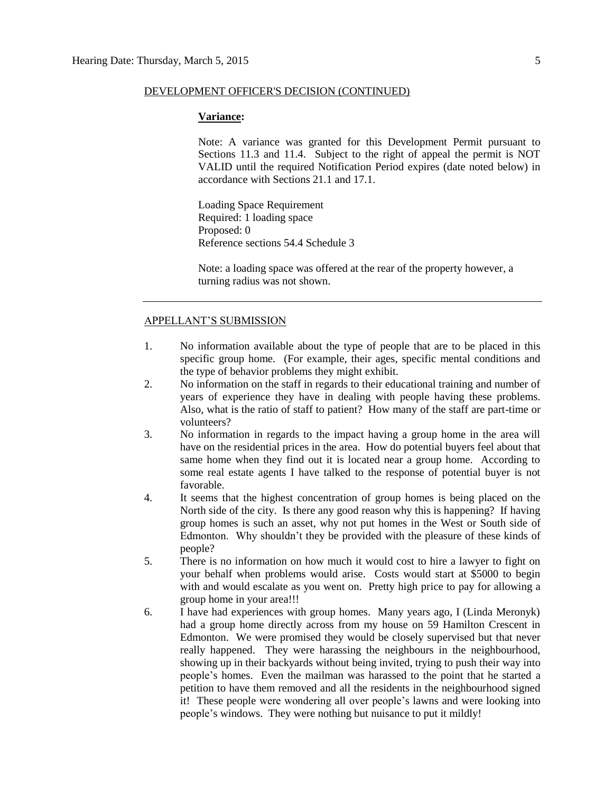#### DEVELOPMENT OFFICER'S DECISION (CONTINUED)

#### **Variance:**

Note: A variance was granted for this Development Permit pursuant to Sections 11.3 and 11.4. Subject to the right of appeal the permit is NOT VALID until the required Notification Period expires (date noted below) in accordance with Sections 21.1 and 17.1.

Loading Space Requirement Required: 1 loading space Proposed: 0 Reference sections 54.4 Schedule 3

Note: a loading space was offered at the rear of the property however, a turning radius was not shown.

#### APPELLANT'S SUBMISSION

- 1. No information available about the type of people that are to be placed in this specific group home. (For example, their ages, specific mental conditions and the type of behavior problems they might exhibit.
- 2. No information on the staff in regards to their educational training and number of years of experience they have in dealing with people having these problems. Also, what is the ratio of staff to patient? How many of the staff are part-time or volunteers?
- 3. No information in regards to the impact having a group home in the area will have on the residential prices in the area. How do potential buyers feel about that same home when they find out it is located near a group home. According to some real estate agents I have talked to the response of potential buyer is not favorable.
- 4. It seems that the highest concentration of group homes is being placed on the North side of the city. Is there any good reason why this is happening? If having group homes is such an asset, why not put homes in the West or South side of Edmonton. Why shouldn't they be provided with the pleasure of these kinds of people?
- 5. There is no information on how much it would cost to hire a lawyer to fight on your behalf when problems would arise. Costs would start at \$5000 to begin with and would escalate as you went on. Pretty high price to pay for allowing a group home in your area!!!
- 6. I have had experiences with group homes. Many years ago, I (Linda Meronyk) had a group home directly across from my house on 59 Hamilton Crescent in Edmonton. We were promised they would be closely supervised but that never really happened. They were harassing the neighbours in the neighbourhood, showing up in their backyards without being invited, trying to push their way into people's homes. Even the mailman was harassed to the point that he started a petition to have them removed and all the residents in the neighbourhood signed it! These people were wondering all over people's lawns and were looking into people's windows. They were nothing but nuisance to put it mildly!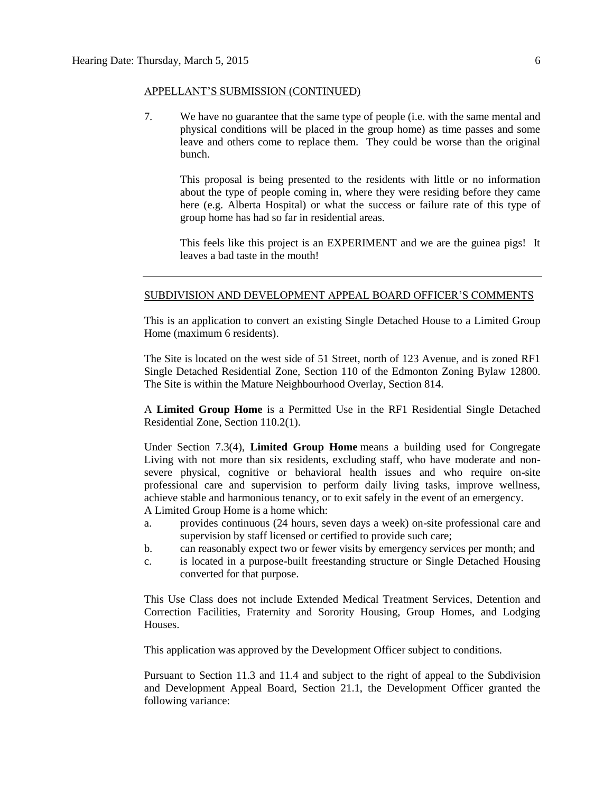#### APPELLANT'S SUBMISSION (CONTINUED)

7. We have no guarantee that the same type of people (i.e. with the same mental and physical conditions will be placed in the group home) as time passes and some leave and others come to replace them. They could be worse than the original bunch.

This proposal is being presented to the residents with little or no information about the type of people coming in, where they were residing before they came here (e.g. Alberta Hospital) or what the success or failure rate of this type of group home has had so far in residential areas.

This feels like this project is an EXPERIMENT and we are the guinea pigs! It leaves a bad taste in the mouth!

#### SUBDIVISION AND DEVELOPMENT APPEAL BOARD OFFICER'S COMMENTS

This is an application to convert an existing Single Detached House to a Limited Group Home (maximum 6 residents).

The Site is located on the west side of 51 Street, north of 123 Avenue, and is zoned RF1 Single Detached Residential Zone, Section 110 of the Edmonton Zoning Bylaw 12800. The Site is within the Mature Neighbourhood Overlay, Section 814.

A **Limited Group Home** is a Permitted Use in the RF1 Residential Single Detached Residential Zone, Section 110.2(1).

Under Section 7.3(4), **Limited Group Home** means a building used for Congregate Living with not more than six residents, excluding staff, who have moderate and nonsevere physical, cognitive or behavioral health issues and who require on-site professional care and supervision to perform daily living tasks, improve wellness, achieve stable and harmonious tenancy, or to exit safely in the event of an emergency. A Limited Group Home is a home which:

- a. provides continuous (24 hours, seven days a week) on-site professional care and supervision by staff licensed or certified to provide such care;
- b. can reasonably expect two or fewer visits by emergency services per month; and
- c. is located in a purpose-built freestanding structure or Single Detached Housing converted for that purpose.

This Use Class does not include Extended Medical Treatment Services, Detention and Correction Facilities, Fraternity and Sorority Housing, Group Homes, and Lodging Houses.

This application was approved by the Development Officer subject to conditions.

Pursuant to Section 11.3 and 11.4 and subject to the right of appeal to the Subdivision and Development Appeal Board, Section 21.1, the Development Officer granted the following variance: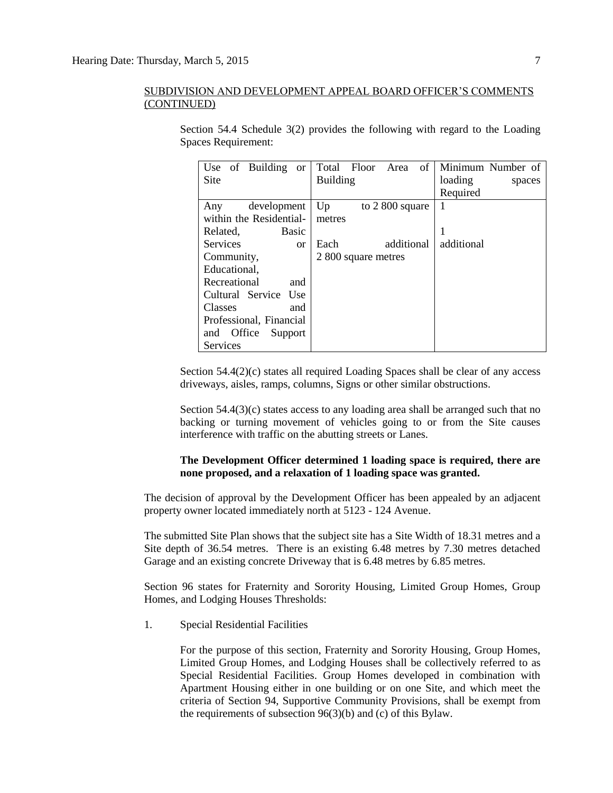| Use of Building<br><sub>or</sub> | of<br>Total Floor Area | Minimum Number of |
|----------------------------------|------------------------|-------------------|
| <b>Site</b>                      | <b>Building</b>        | loading<br>spaces |
|                                  |                        | Required          |
| development<br>Any               | Up<br>to $2800$ square | 1                 |
| within the Residential-          | metres                 |                   |
| Basic<br>Related,                |                        | 1                 |
| <b>Services</b><br><sub>or</sub> | additional<br>Each     | additional        |
| Community,                       | 2 800 square metres    |                   |
| Educational,                     |                        |                   |
| Recreational<br>and              |                        |                   |
| Cultural Service<br>Use          |                        |                   |
| Classes<br>and                   |                        |                   |
| Professional, Financial          |                        |                   |
| Support<br>and Office            |                        |                   |
| Services                         |                        |                   |

Section 54.4 Schedule 3(2) provides the following with regard to the Loading Spaces Requirement:

Section  $54.4(2)(c)$  states all required Loading Spaces shall be clear of any access driveways, aisles, ramps, columns, Signs or other similar obstructions.

Section 54.4(3)(c) states access to any loading area shall be arranged such that no backing or turning movement of vehicles going to or from the Site causes interference with traffic on the abutting streets or Lanes.

#### **The Development Officer determined 1 loading space is required, there are none proposed, and a relaxation of 1 loading space was granted.**

The decision of approval by the Development Officer has been appealed by an adjacent property owner located immediately north at 5123 - 124 Avenue.

The submitted Site Plan shows that the subject site has a Site Width of 18.31 metres and a Site depth of 36.54 metres. There is an existing 6.48 metres by 7.30 metres detached Garage and an existing concrete Driveway that is 6.48 metres by 6.85 metres.

Section 96 states for Fraternity and Sorority Housing, Limited Group Homes, Group Homes, and Lodging Houses Thresholds:

1. Special Residential Facilities

For the purpose of this section, [Fraternity and Sorority Housing, Group Homes,](javascript:void(0);) [Limited Group Homes,](javascript:void(0);) and [Lodging Houses](javascript:void(0);) shall be collectively referred to as Special Residential Facilities. Group Homes developed in combination with Apartment Housing either in one building or on one Site, and which meet the criteria of [Section 94,](http://webdocs.edmonton.ca/InfraPlan/zoningbylaw/ZoningBylaw/Part1/Special_Land/94._Supportive_Community_Provision.htm) Supportive Community Provisions, shall be exempt from the requirements of subsection 96(3)(b) and (c) of this Bylaw.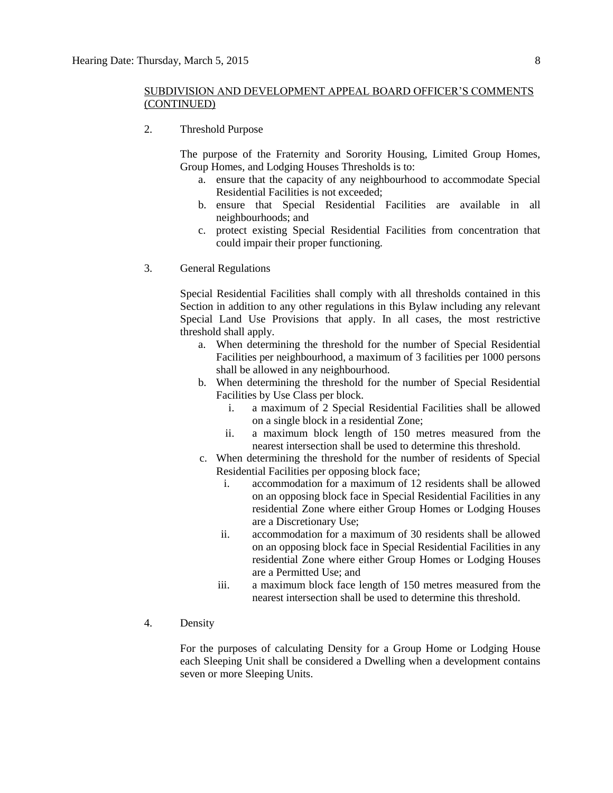2. Threshold Purpose

The purpose of the Fraternity and Sorority Housing, Limited Group Homes, Group Homes, and Lodging Houses Thresholds is to:

- a. ensure that the capacity of any neighbourhood to accommodate Special Residential Facilities is not exceeded;
- b. ensure that Special Residential Facilities are available in all neighbourhoods; and
- c. protect existing Special Residential Facilities from concentration that could impair their proper functioning.
- 3. General Regulations

Special Residential Facilities shall comply with all thresholds contained in this Section in addition to any other regulations in this Bylaw including any relevant Special Land Use Provisions that apply. In all cases, the most restrictive threshold shall apply.

- a. When determining the threshold for the number of Special Residential Facilities per neighbourhood, a maximum of 3 facilities per 1000 persons shall be allowed in any neighbourhood.
- b. When determining the threshold for the number of Special Residential Facilities by Use Class per block.
	- i. a maximum of 2 Special Residential Facilities shall be allowed on a single block in a residential Zone;
	- ii. a maximum block length of [150 me](javascript:void(0);)tres measured from the nearest intersection shall be used to determine this threshold.
- c. When determining the threshold for the number of residents of Special Residential Facilities per opposing block face;
	- i. accommodation for a maximum of 12 residents shall be allowed on an opposing block face in Special Residential Facilities in any residential Zone where either Group Homes or Lodging Houses are a Discretionary Use;
	- ii. accommodation for a maximum of 30 residents shall be allowed on an opposing block face in Special Residential Facilities in any residential Zone where either Group Homes or Lodging Houses are a Permitted Use; and
	- iii. a maximum block face length of [150 me](javascript:void(0);)tres measured from the nearest intersection shall be used to determine this threshold.
- 4. Density

For the purposes of calculating Density for a Group Home or Lodging House each Sleeping Unit shall be considered a Dwelling when a development contains seven or more Sleeping Units.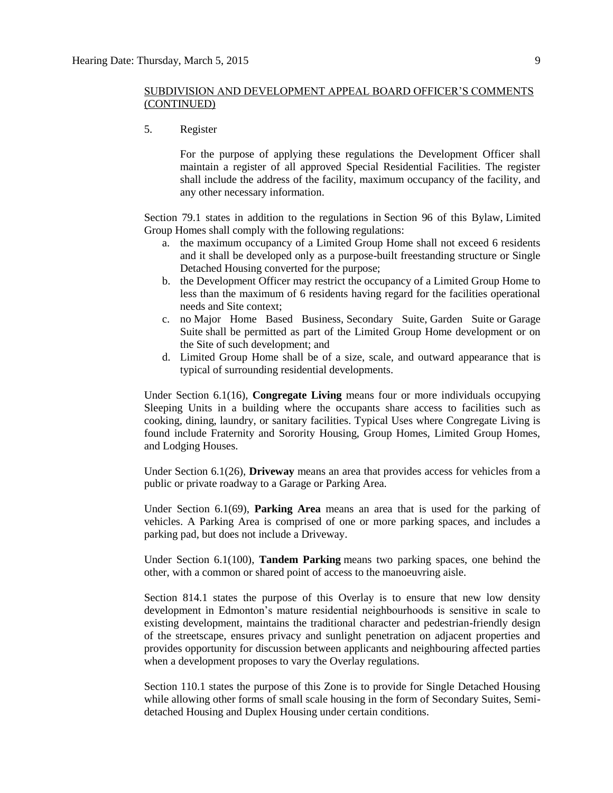5. Register

For the purpose of applying these regulations the Development Officer shall maintain a register of all approved Special Residential Facilities. The register shall include the address of the facility, maximum occupancy of the facility, and any other necessary information.

Section 79.1 states in addition to the regulations in Section 96 of this Bylaw, Limited Group Homes shall comply with the following regulations:

- a. the maximum occupancy of a Limited Group Home shall not exceed 6 residents and it shall be developed only as a purpose-built freestanding structure or Single Detached Housing converted for the purpose;
- b. the Development Officer may restrict the occupancy of a Limited Group Home to less than the maximum of 6 residents having regard for the facilities operational needs and Site context;
- c. no Major Home Based Business, Secondary Suite, Garden Suite or Garage Suite shall be permitted as part of the Limited Group Home development or on the Site of such development; and
- d. Limited Group Home shall be of a size, scale, and outward appearance that is typical of surrounding residential developments.

Under Section 6.1(16), **Congregate Living** means four or more individuals occupying Sleeping Units in a building where the occupants share access to facilities such as cooking, dining, laundry, or sanitary facilities. Typical Uses where Congregate Living is found include Fraternity and Sorority Housing, Group Homes, Limited Group Homes, and Lodging Houses.

Under Section 6.1(26), **Driveway** means an area that provides access for vehicles from a public or private roadway to a Garage or Parking Area.

Under Section 6.1(69), **Parking Area** means an area that is used for the parking of vehicles. A Parking Area is comprised of one or more parking spaces, and includes a parking pad, but does not include a Driveway.

Under Section 6.1(100), **Tandem Parking** means two parking spaces, one behind the other, with a common or shared point of access to the manoeuvring aisle.

Section 814.1 states the purpose of this Overlay is to ensure that new low density development in Edmonton's mature residential neighbourhoods is sensitive in scale to existing development, maintains the traditional character and pedestrian-friendly design of the streetscape, ensures privacy and sunlight penetration on adjacent properties and provides opportunity for discussion between applicants and neighbouring affected parties when a development proposes to vary the Overlay regulations.

Section 110.1 states the purpose of this Zone is to provide for Single Detached Housing while allowing other forms of small scale housing in the form of Secondary Suites, Semidetached Housing and Duplex Housing under certain conditions.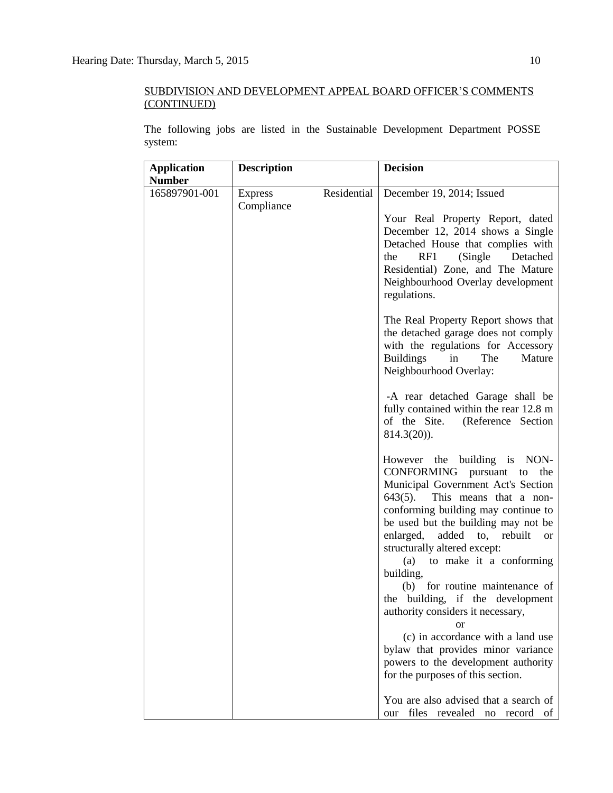The following jobs are listed in the Sustainable Development Department POSSE system:

| <b>Application</b>             | <b>Description</b>           |             | <b>Decision</b>                                                                                                                                                                                                                                                                                                                                                                                                                                                                                                                                                                                                                                                                                                                                                                                                                                                                                                                                                                                                                                                                                                                                                                                                                                                            |
|--------------------------------|------------------------------|-------------|----------------------------------------------------------------------------------------------------------------------------------------------------------------------------------------------------------------------------------------------------------------------------------------------------------------------------------------------------------------------------------------------------------------------------------------------------------------------------------------------------------------------------------------------------------------------------------------------------------------------------------------------------------------------------------------------------------------------------------------------------------------------------------------------------------------------------------------------------------------------------------------------------------------------------------------------------------------------------------------------------------------------------------------------------------------------------------------------------------------------------------------------------------------------------------------------------------------------------------------------------------------------------|
| <b>Number</b><br>165897901-001 | <b>Express</b><br>Compliance | Residential | December 19, 2014; Issued<br>Your Real Property Report, dated<br>December 12, 2014 shows a Single<br>Detached House that complies with<br>(Single Detached<br>the<br>RF1<br>Residential) Zone, and The Mature<br>Neighbourhood Overlay development<br>regulations.<br>The Real Property Report shows that<br>the detached garage does not comply<br>with the regulations for Accessory<br><b>Buildings</b><br>The<br>in<br>Mature<br>Neighbourhood Overlay:<br>-A rear detached Garage shall be<br>fully contained within the rear 12.8 m<br>of the Site.<br>(Reference Section<br>$814.3(20)$ ).<br>However the building is NON-<br>CONFORMING pursuant to the<br>Municipal Government Act's Section<br>$643(5)$ .<br>This means that a non-<br>conforming building may continue to<br>be used but the building may not be<br>enlarged,<br>added<br>to, rebuilt<br><b>or</b><br>structurally altered except:<br>(a) to make it a conforming<br>building,<br>(b) for routine maintenance of<br>the building, if the development<br>authority considers it necessary,<br>or<br>(c) in accordance with a land use<br>bylaw that provides minor variance<br>powers to the development authority<br>for the purposes of this section.<br>You are also advised that a search of |
|                                |                              |             | files revealed no record<br>our<br>- of                                                                                                                                                                                                                                                                                                                                                                                                                                                                                                                                                                                                                                                                                                                                                                                                                                                                                                                                                                                                                                                                                                                                                                                                                                    |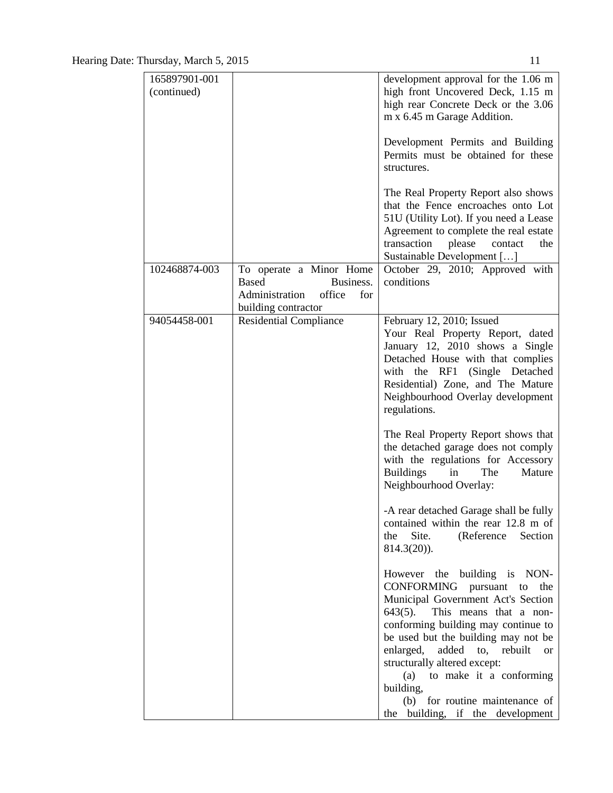| 165897901-001 |                                                                                                                | development approval for the 1.06 m                                                                                                                                                                                                                                                                                          |
|---------------|----------------------------------------------------------------------------------------------------------------|------------------------------------------------------------------------------------------------------------------------------------------------------------------------------------------------------------------------------------------------------------------------------------------------------------------------------|
| (continued)   |                                                                                                                | high front Uncovered Deck, 1.15 m<br>high rear Concrete Deck or the 3.06<br>m x 6.45 m Garage Addition.                                                                                                                                                                                                                      |
|               |                                                                                                                | Development Permits and Building<br>Permits must be obtained for these<br>structures.                                                                                                                                                                                                                                        |
|               |                                                                                                                | The Real Property Report also shows<br>that the Fence encroaches onto Lot<br>51U (Utility Lot). If you need a Lease<br>Agreement to complete the real estate<br>transaction<br>please<br>contact<br>the<br>Sustainable Development []                                                                                        |
| 102468874-003 | To operate a Minor Home<br><b>Based</b><br>Business.<br>Administration<br>office<br>for<br>building contractor | October 29, 2010; Approved with<br>conditions                                                                                                                                                                                                                                                                                |
| 94054458-001  | <b>Residential Compliance</b>                                                                                  | February 12, 2010; Issued<br>Your Real Property Report, dated<br>January 12, 2010 shows a Single<br>Detached House with that complies<br>with the RF1 (Single Detached<br>Residential) Zone, and The Mature<br>Neighbourhood Overlay development<br>regulations.                                                             |
|               |                                                                                                                | The Real Property Report shows that<br>the detached garage does not comply<br>with the regulations for Accessory<br>The<br><b>Buildings</b><br>Mature<br>in<br>Neighbourhood Overlay:                                                                                                                                        |
|               |                                                                                                                | -A rear detached Garage shall be fully<br>contained within the rear 12.8 m of<br>Site.<br>(Reference<br>Section<br>the<br>$814.3(20)$ ).                                                                                                                                                                                     |
|               |                                                                                                                | However the building is NON-<br><b>CONFORMING</b><br>pursuant<br>the<br>to<br>Municipal Government Act's Section<br>$643(5)$ .<br>This means that a non-<br>conforming building may continue to<br>be used but the building may not be<br>enlarged,<br>added<br>to, rebuilt<br><sub>or</sub><br>structurally altered except: |
|               |                                                                                                                | to make it a conforming<br>(a)<br>building,<br>(b) for routine maintenance of<br>the building, if the development                                                                                                                                                                                                            |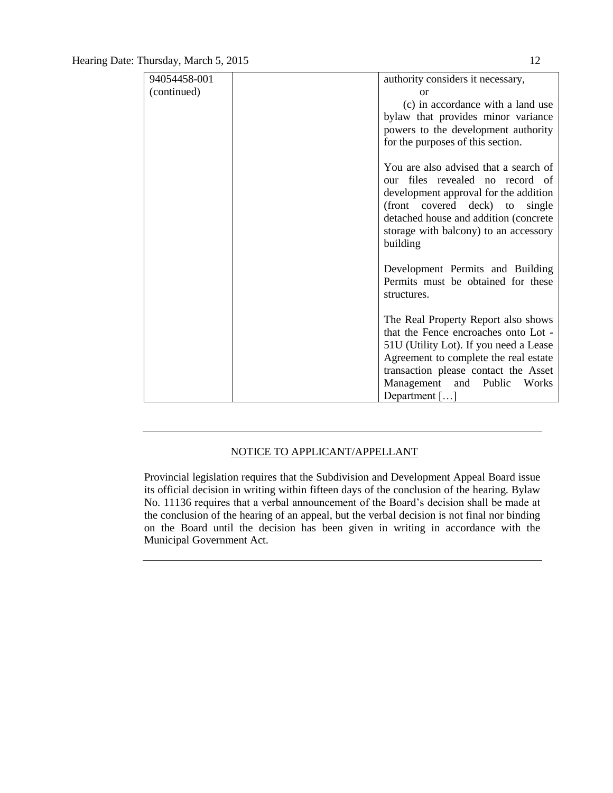| 94054458-001 | authority considers it necessary,                 |
|--------------|---------------------------------------------------|
| (continued)  | or                                                |
|              | (c) in accordance with a land use                 |
|              | bylaw that provides minor variance                |
|              | powers to the development authority               |
|              | for the purposes of this section.                 |
|              |                                                   |
|              | You are also advised that a search of             |
|              | files revealed no record of<br>our                |
|              | development approval for the addition             |
|              | (front covered deck) to<br>single                 |
|              | detached house and addition (concrete             |
|              | storage with balcony) to an accessory             |
|              | building                                          |
|              |                                                   |
|              | Development Permits and Building                  |
|              | Permits must be obtained for these<br>structures. |
|              |                                                   |
|              | The Real Property Report also shows               |
|              | that the Fence encroaches onto Lot -              |
|              | 51U (Utility Lot). If you need a Lease            |
|              | Agreement to complete the real estate             |
|              | transaction please contact the Asset              |
|              | Management and Public<br>Works                    |
|              | Department $[\dots]$                              |

#### NOTICE TO APPLICANT/APPELLANT

Provincial legislation requires that the Subdivision and Development Appeal Board issue its official decision in writing within fifteen days of the conclusion of the hearing. Bylaw No. 11136 requires that a verbal announcement of the Board's decision shall be made at the conclusion of the hearing of an appeal, but the verbal decision is not final nor binding on the Board until the decision has been given in writing in accordance with the Municipal Government Act.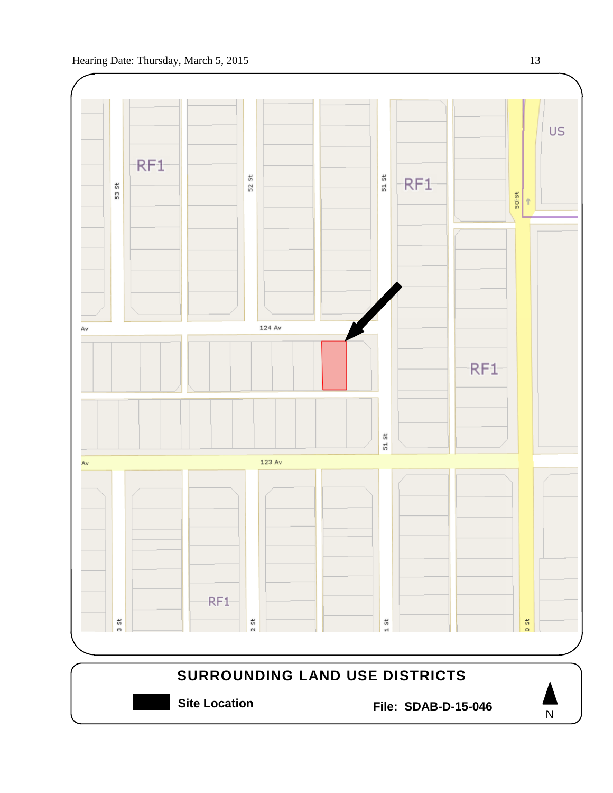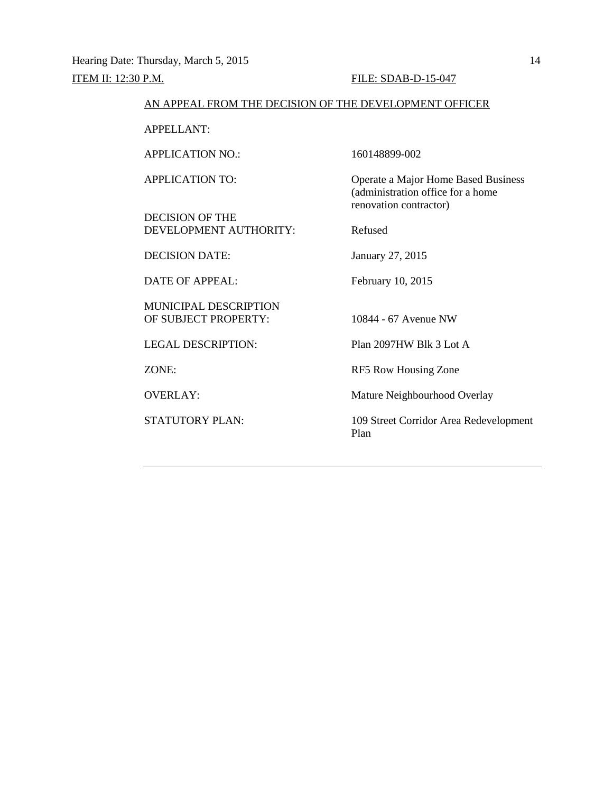#### AN APPEAL FROM THE DECISION OF THE DEVELOPMENT OFFICER

APPELLANT:

APPLICATION NO.: 160148899-002

DECISION OF THE DEVELOPMENT AUTHORITY: Refused

DECISION DATE: January 27, 2015

DATE OF APPEAL: February 10, 2015

MUNICIPAL DESCRIPTION OF SUBJECT PROPERTY: 10844 - 67 Avenue NW

LEGAL DESCRIPTION: Plan 2097HW Blk 3 Lot A

APPLICATION TO: Operate a Major Home Based Business (administration office for a home renovation contractor)

ZONE: RF5 Row Housing Zone

OVERLAY: Mature Neighbourhood Overlay

STATUTORY PLAN: 109 Street Corridor Area Redevelopment Plan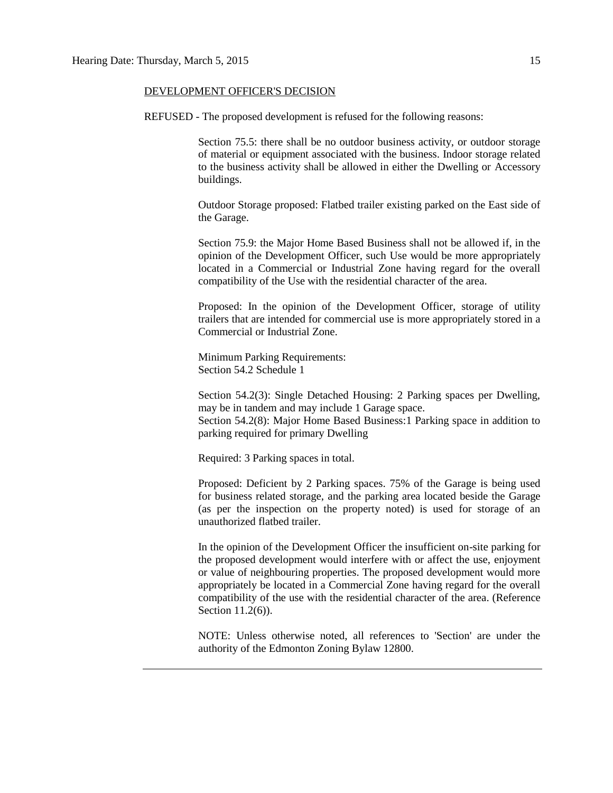#### DEVELOPMENT OFFICER'S DECISION

REFUSED - The proposed development is refused for the following reasons:

Section 75.5: there shall be no outdoor business activity, or outdoor storage of material or equipment associated with the business. Indoor storage related to the business activity shall be allowed in either the Dwelling or Accessory buildings.

Outdoor Storage proposed: Flatbed trailer existing parked on the East side of the Garage.

Section 75.9: the Major Home Based Business shall not be allowed if, in the opinion of the Development Officer, such Use would be more appropriately located in a Commercial or Industrial Zone having regard for the overall compatibility of the Use with the residential character of the area.

Proposed: In the opinion of the Development Officer, storage of utility trailers that are intended for commercial use is more appropriately stored in a Commercial or Industrial Zone.

Minimum Parking Requirements: Section 54.2 Schedule 1

Section 54.2(3): Single Detached Housing: 2 Parking spaces per Dwelling, may be in tandem and may include 1 Garage space.

Section 54.2(8): Major Home Based Business:1 Parking space in addition to parking required for primary Dwelling

Required: 3 Parking spaces in total.

Proposed: Deficient by 2 Parking spaces. 75% of the Garage is being used for business related storage, and the parking area located beside the Garage (as per the inspection on the property noted) is used for storage of an unauthorized flatbed trailer.

In the opinion of the Development Officer the insufficient on-site parking for the proposed development would interfere with or affect the use, enjoyment or value of neighbouring properties. The proposed development would more appropriately be located in a Commercial Zone having regard for the overall compatibility of the use with the residential character of the area. (Reference Section 11.2(6)).

NOTE: Unless otherwise noted, all references to 'Section' are under the authority of the Edmonton Zoning Bylaw 12800.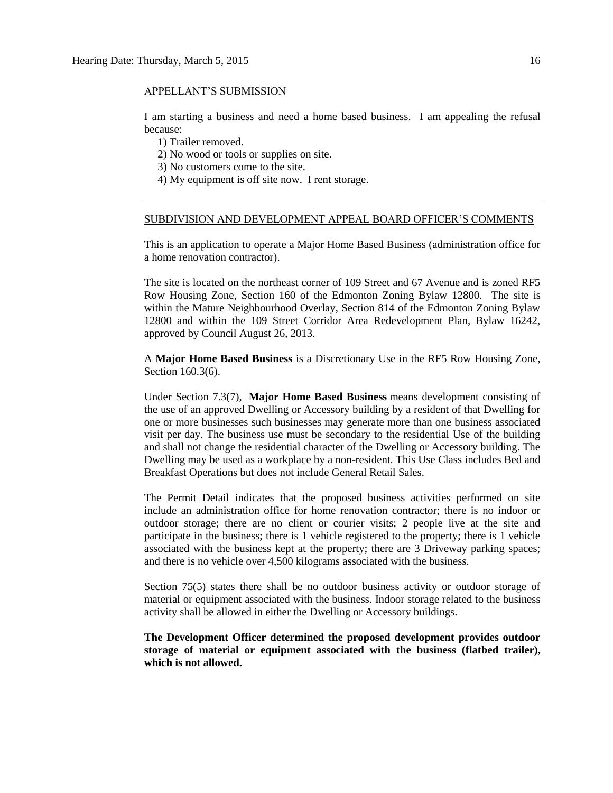#### APPELLANT'S SUBMISSION

I am starting a business and need a home based business. I am appealing the refusal because:

1) Trailer removed.

- 2) No wood or tools or supplies on site.
- 3) No customers come to the site.
- 4) My equipment is off site now. I rent storage.

#### SUBDIVISION AND DEVELOPMENT APPEAL BOARD OFFICER'S COMMENTS

This is an application to operate a Major Home Based Business (administration office for a home renovation contractor).

The site is located on the northeast corner of 109 Street and 67 Avenue and is zoned RF5 Row Housing Zone, Section 160 of the Edmonton Zoning Bylaw 12800. The site is within the Mature Neighbourhood Overlay, Section 814 of the Edmonton Zoning Bylaw 12800 and within the 109 Street Corridor Area Redevelopment Plan, Bylaw 16242, approved by Council August 26, 2013.

A **Major Home Based Business** is a Discretionary Use in the RF5 Row Housing Zone, Section 160.3(6).

Under Section 7.3(7), **Major Home Based Business** means development consisting of the use of an approved Dwelling or Accessory building by a resident of that Dwelling for one or more businesses such businesses may generate more than one business associated visit per day. The business use must be secondary to the residential Use of the building and shall not change the residential character of the Dwelling or Accessory building. The Dwelling may be used as a workplace by a non-resident. This Use Class includes Bed and Breakfast Operations but does not include General Retail Sales.

The Permit Detail indicates that the proposed business activities performed on site include an administration office for home renovation contractor; there is no indoor or outdoor storage; there are no client or courier visits; 2 people live at the site and participate in the business; there is 1 vehicle registered to the property; there is 1 vehicle associated with the business kept at the property; there are 3 Driveway parking spaces; and there is no vehicle over 4,500 kilograms associated with the business.

Section 75(5) states there shall be no outdoor business activity or outdoor storage of material or equipment associated with the business. Indoor storage related to the business activity shall be allowed in either the Dwelling or Accessory buildings.

**The Development Officer determined the proposed development provides outdoor storage of material or equipment associated with the business (flatbed trailer), which is not allowed.**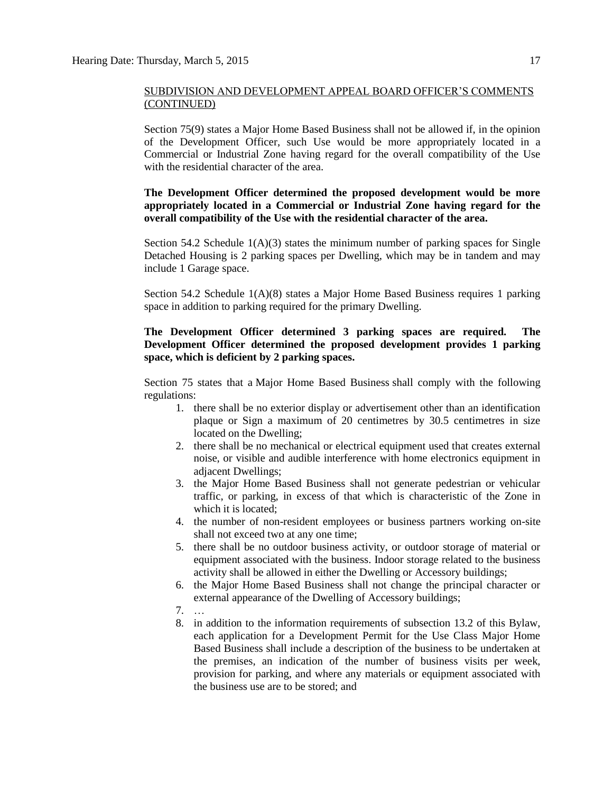Section 75(9) states a Major Home Based Business shall not be allowed if, in the opinion of the Development Officer, such Use would be more appropriately located in a Commercial or Industrial Zone having regard for the overall compatibility of the Use with the residential character of the area.

#### **The Development Officer determined the proposed development would be more appropriately located in a Commercial or Industrial Zone having regard for the overall compatibility of the Use with the residential character of the area.**

Section 54.2 Schedule  $1(A)(3)$  states the minimum number of parking spaces for Single Detached Housing is 2 parking spaces per Dwelling, which may be in tandem and may include 1 Garage space.

Section 54.2 Schedule 1(A)(8) states a Major Home Based Business requires 1 parking space in addition to parking required for the primary Dwelling.

#### **The Development Officer determined 3 parking spaces are required. The Development Officer determined the proposed development provides 1 parking space, which is deficient by 2 parking spaces.**

Section 75 states that a [Major Home Based Business](javascript:void(0);) shall comply with the following regulations:

- 1. there shall be no exterior display or advertisement other than an identification plaque or Sign a maximum of 20 centimetres by 30.5 centimetres in size located on the Dwelling;
- 2. there shall be no mechanical or electrical equipment used that creates external noise, or visible and audible interference with home electronics equipment in adjacent Dwellings;
- 3. the Major Home Based Business shall not generate pedestrian or vehicular traffic, or parking, in excess of that which is characteristic of the Zone in which it is located;
- 4. the number of non-resident employees or business partners working on-site shall not exceed two at any one time;
- 5. there shall be no outdoor business activity, or outdoor storage of material or equipment associated with the business. Indoor storage related to the business activity shall be allowed in either the Dwelling or Accessory buildings;
- 6. the Major Home Based Business shall not change the principal character or external appearance of the Dwelling of Accessory buildings;
- 7. …
- 8. in addition to the information requirements of subsection 13.2 of this Bylaw, each application for a Development Permit for the Use Class Major Home Based Business shall include a description of the business to be undertaken at the premises, an indication of the number of business visits per week, provision for parking, and where any materials or equipment associated with the business use are to be stored; and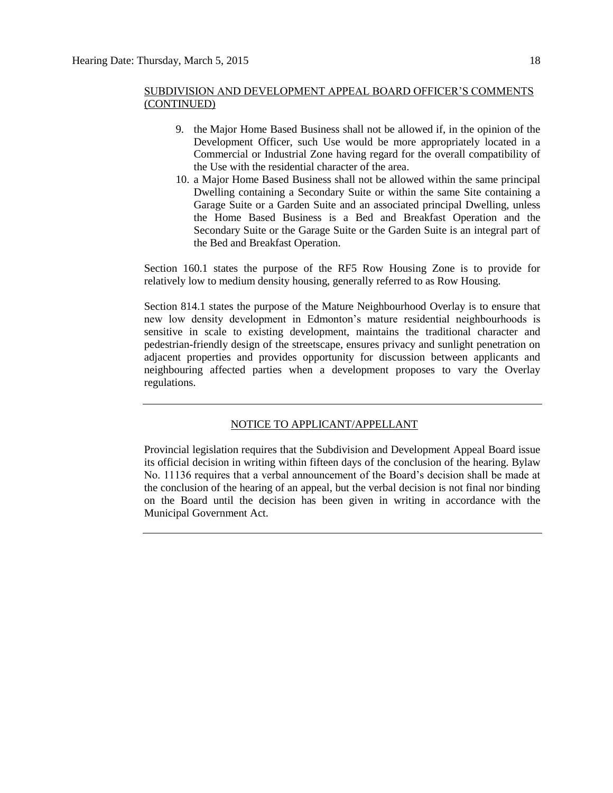- 9. the Major Home Based Business shall not be allowed if, in the opinion of the Development Officer, such Use would be more appropriately located in a Commercial or Industrial Zone having regard for the overall compatibility of the Use with the residential character of the area.
- 10. a Major Home Based Business shall not be allowed within the same principal Dwelling containing a Secondary Suite or within the same Site containing a Garage Suite or a Garden Suite and an associated principal Dwelling, unless the Home Based Business is a Bed and Breakfast Operation and the Secondary Suite or the Garage Suite or the Garden Suite is an integral part of the Bed and Breakfast Operation.

Section 160.1 states the purpose of the RF5 Row Housing Zone is to provide for relatively low to medium density housing, generally referred to as Row Housing.

Section 814.1 states the purpose of the Mature Neighbourhood Overlay is to ensure that new low density development in Edmonton's mature residential neighbourhoods is sensitive in scale to existing development, maintains the traditional character and pedestrian-friendly design of the streetscape, ensures privacy and sunlight penetration on adjacent properties and provides opportunity for discussion between applicants and neighbouring affected parties when a development proposes to vary the Overlay regulations.

#### NOTICE TO APPLICANT/APPELLANT

Provincial legislation requires that the Subdivision and Development Appeal Board issue its official decision in writing within fifteen days of the conclusion of the hearing. Bylaw No. 11136 requires that a verbal announcement of the Board's decision shall be made at the conclusion of the hearing of an appeal, but the verbal decision is not final nor binding on the Board until the decision has been given in writing in accordance with the Municipal Government Act.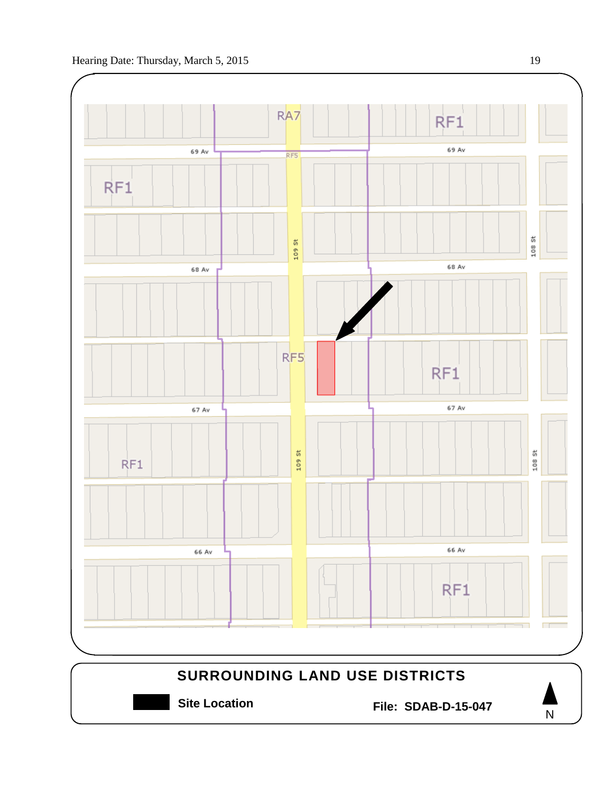